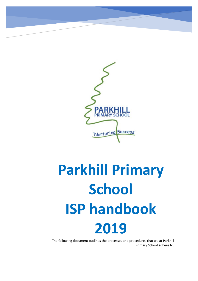

# **Parkhill Primary School ISP handbook 2019**

The following document outlines the processes and procedures that we at Parkhill<br>REimary Sebaal adbase to Primary School adhere to.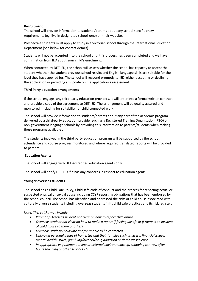## **Recruitment**

The school will provide information to students/parents about any school specific entry requirements (eg. live in designated school zone) on their website.

Prospective students must apply to study in a Victorian school through the International Education Department (See below for contact details).

Students will not be accepted into the school until this process has been completed and we have confirmation from IED about your child's enrolment.

When contacted by DET IED, the school will assess whether the school has capacity to accept the student whether the student previous school results and English language skills are suitable for the level they have applied for. The school will respond promptly to IED, either accepting or declining the application or providing an update on the application's assessment

## **Third Party education arrangements**

If the school engages any third-party education providers, it will enter into a formal written contract and provide a copy of the agreement to DET IED. The arrangement will be quality assured and monitored (including for suitability for child connected work).

The school will provide information to students/parents about any part of the academic program delivered by a third-party education provider such as a Registered Training Organisation (RTO) or non-government language schools by providing this information to parents/students when making these programs available .

The students involved in the third party education program will be supported by the school, attendance and course progress monitored and where required translated reports will be provided to parents.

## **Education Agents**

The school will engage with DET-accredited education agents only.

The school will notify DET IED if it has any concerns in respect to education agents.

## **Younger overseas students**

The school has a Child Safe Policy, Child safe code of conduct and the process for reporting actual or suspected physical or sexual abuse including CCYP reporting obligations that has been endorsed by the school council. The school has identified and addressed the risks of child abuse associated with culturally diverse students including overseas students in its child safe practices and its risk register.

## *Note: These risks may include:*

- *Parent of Overseas student not clear on how to report child abuse*
- *Overseas student not clear on how to make a report if feeling unsafe or if there is an incident of child abuse to them or others*
- *Overseas student is out late and/or unable to be contacted*
- *Unknown personal issues of homestay and their families such as stress, financial issues, mental health issues, gambling/alcohol/drug addiction or domestic violence*
- *In appropriate engagement online or external environments eg. shopping centres, after hours teaching or other services etc*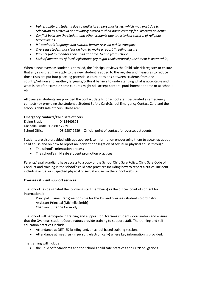- *Vulnerability of students due to undisclosed personal issues, which may exist due to relocation to Australia or previously existed in their home country for Overseas students*
- *Conflict between the student and other students due to historical cultural of religious backgrounds*
- *ISP student's language and cultural barrier risks on public transport*
- *Overseas student not clear on how to make a report if feeling unsafe*
- *Parents fail to monitor their child at home, to and from school*
- *Lack of awareness of local legislations (eg might think corporal punishment is acceptable)*

When a new overseas student is enrolled, the Principal reviews the Child safe risk register to ensure that any risks that may apply to the new student is added to the register and measures to reduce those risks are put into place. eg potential cultural tensions between students from one country/religion and another, language/cultural barriers to understanding what is acceptable and what is not (for example some cultures might still accept corporal punishment at home or at school) etc.

All overseas students are provided the contact details for school staff designated as emergency contacts (by providing the student a Student Safety Card/School Emergency Contact Card and the school's child safe officers. These are:

# **Emergency contacts/Child safe officers**

Elaine Brady 0413440871 Michelle Smith 03 9807 2239 School Office 03 9807 2239 Official point of contact for overseas students

Students are also provided with age appropriate information encouraging them to speak up about child abuse and on how to report an incident or allegation of sexual or physical abuse through:

- The school's orientation process
- The school's child safe student promotion practices

Parents/legal guardians have access to a copy of the School Child Safe Policy, Child Safe Code of Conduct and training in the school's child safe practices including how to report a critical incident including actual or suspected physical or sexual abuse via the school website.

# **Overseas student support services**

The school has designated the following staff member(s) as the official point of contact for international:

Principal (Elaine Brady) responsible for the ISP and overseas student co-ordinator Assistant Principal (Michelle Smith) Chaplian (Suzanne Carmody)

The school will participate in training and support for Overseas student Coordinators and ensure that the Overseas student Coordinators provide training to support staff. The training and selfeducation practices include:

- Attendance at DET IED briefing and/or school based training sessions
- Attendance at meetings (in person, electronically) where key information is provided.

The training will include:

the Child Safe Standards and the school's child safe practices and CCYP obligations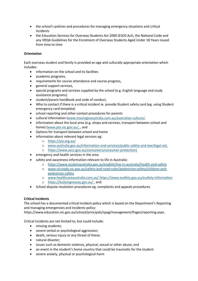- the school's policies and procedures for managing emergency situations and critical incidents
- the Education Services for Overseas Students Act 2000 (ESOS Act), the National Code and any VRQA Guidelines for the Enrolment of Overseas Students Aged Under 18 Years issued from time to time

# **Orientation**

Each overseas student and family is provided an age and culturally appropriate orientation which includes:

- information on the school and its facilities
- academic programs,
- requirements for course attendance and course progress,
- general support services,
- special programs and services supplied by the school (e.g. English language and study assistance programs)
- student/parent handbook and code of conduct,
- Who to contact if there is a critical incident ie. provide Student safety card (eg. using Student emergency card template)
- school reporting and other contact procedures for parents
- cultural information [\(www.movingtoaustralia.com.au/australian-culture/,](http://www.movingtoaustralia.com.au/australian-culture/)
- information about the local area (e.g. shops and services, transport between school and home) [\(www.ptv.vic.gov.au/,](http://www.ptv.vic.gov.au/) , and
- Options for transport between school and home
- information about relevant legal services eg:
	- o <https://yla.org.au/>
	- o [www.australia.gov.au/information-and-services/public-safety-and-law/legal-aid,](http://www.australia.gov.au/information-and-services/public-safety-and-law/legal-aid)
	- o [https://www.accc.gov.au/consumers/consumer-protection\)](https://www.accc.gov.au/consumers/consumer-protection)
- emergency and health services in the area
- safety and awareness information relevant to life in Australia:
	- o <https://www.studyinaustralia.gov.au/english/live-in-australia/health-and-safety>
	- o [www.vicroads.vic.gov.au/safety-and-road-rules/pedestrian-safety/children-and](http://www.vicroads.vic.gov.au/safety-and-road-rules/pedestrian-safety/children-and-pedestrian-safety)[pedestrian-safety](http://www.vicroads.vic.gov.au/safety-and-road-rules/pedestrian-safety/children-and-pedestrian-safety)
	- o [www.healthcareaustralia.com.au/](http://www.healthcareaustralia.com.au/) <https://www.esafety.gov.au/esafety-information>
	- o <https://bullyingnoway.gov.au/> , and
- School dispute resolution procedures eg. complaints and appeals procedures

# **Critical incidents**

The school has a documented critical incident policy which is based on the Department's Reporting and managing emergencies and incidents policy:

https://www.education.vic.gov.au/school/principals/spag/management/Pages/reporting.aspx.

Critical incidents are not limited to, but could include:

- missing students;
- severe verbal or psychological aggression;
- death, serious injury or any threat of these;
- natural disaster;
- issues such as domestic violence, physical, sexual or other abuse; and
- an event in the student's home country that could be traumatic for the student
- severe anxiety, physical or psychological harm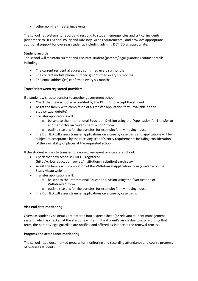• other non-life threatening events

The school has systems to report and respond to student emergencies and critical incidents (adherence to DET School Policy and Advisory Guide requirements), and provides appropriate additional support for overseas students, including advising DET IED as appropriate.

## **Student records**

The school will maintain current and accurate student (parents/legal guardian) contact details including:

- The current residential address confirmed every six months
- The contact mobile phone number(s) confirmed every six months
- The email address(es) confirmed every six months

# **Transfer between registered providers**

If a student wishes to transfer to another government school:

- Check that new school is accredited by the DET IED to accept the student
- Assist the family with completion of a Transfer Application form (available on the study.vic.au website)
- Transfer applications will:
	- $\circ$  be sent to the International Education Division using the "Application for Transfer to another Victorian Government School" form
	- o outline reasons for the transfer, for example: family moving house
- The DET IED will assess transfer applications on a case by case basis and applications will be subject to acceptance by the receiving school's entry requirements including consideration of the availability of places at the requested school.

If the student wishes to transfer to a non-government or interstate school:

- Check that new school is CRICOS registered (http://cricos.education.gov.au/institution/InstitutionSearch.aspx )
- Assist the family with completion of the Withdrawal Application form (available on the Study.vic.au website)
- Transfer applications will:
	- o be sent to the International Education Division using the "Notification of Withdrawal" form
	- o outline reasons for the transfer, for example: family moving house
- The DET IED will assess transfer applications on a case by case basis.

# **Visa end date monitoring**

Overseas student visa details are entered into a spreadsheet (or relevant student management system) which is checked at the start of each term. If a student's visa is due to expire during that term, the parents/legal guardian are notified and offered assistance in the renewal process.

# **Progress and attendance monitoring**

The school has a documented process for monitoring and recording attendance and course progress of overseas students.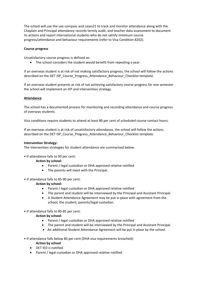The school will use the use compass and cases21 to track and monitor attendance along with the Chaplain and Principal attendance records termly audit, and teacher data assessment to document its actions and report international students who do not satisfy minimum course progress/attendance and behaviour requirements (refer to Visa Condition 8202).

## **Course progress**

Unsatisfactory course progress is defined as:

• The school considers the student would benefit from repeating a year.

If an overseas student is at risk of not making satisfactory progress, the school will follow the actions described on the DET ISP\_Course\_Progress\_Attendance\_Behaviour\_Checklist template.

If an overseas student presents at risk of not achieving satisfactory course progress for one semester the school will implement an IEP and intervention strategy.

## **Attendance**

The school has a documented process for monitoring and recording attendance and course progress of overseas students.

Visa conditions require students to attend at least 80 per cent of scheduled course contact hours.

If an overseas student is at risk of unsatisfactory attendance, the school will follow the actions described on the DET ISP\_Course\_Progress\_Attendance\_Behaviour\_Checklist template.

## **Intervention Strategy:**

The intervention strategies for student attendance are summarised below.

• If attendance falls to 90 per cent:

## **Action by school:**

- Parent / legal custodian or DHA approved relative notified
- The parents will meet with the Principal.
- If attendance falls to 85-90 per cent:

## **Action by school:**

- Parent / legal custodian or DHA approved relative notified
- The parent and student will be interviewed by the Principal and Assistant Principal.
- A Student Attendance Agreement may be put in place with agreement from the school, the student, parents/legal custodian.
- If attendance falls to 80-85 per cent:

## **Action by school:**

- Parent / legal custodian or DHA approved relative notified
- The parent and student will be interviewed by the Principal and Assistant Principal.
- An additional Student Attendance Agreement will be put in place by the school.

• If attendance falls below 80 per cent (DHA visa requirements breached):

## **Action by school**

- DET IED is notified
- Parent / legal custodian or DHA approved relative notified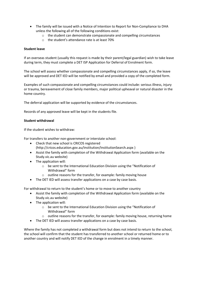- The family will be issued with a Notice of Intention to Report for Non-Compliance to DHA unless the following all of the following conditions exist:
	- $\circ$  the student can demonstrate compassionate and compelling circumstances
	- o the student's attendance rate is at least 70%

#### **Student leave**

If an overseas student (usually this request is made by their parent/legal guardian) wish to take leave during term, they must complete a DET ISP Application for Deferral of Enrolment form.

The school will assess whether compassionate and compelling circumstances apply, if so, the leave will be approved and DET IED will be notified by email and provided a copy of the completed form.

Examples of such compassionate and compelling circumstances could include: serious illness, injury or trauma, bereavement of close family members, major political upheaval or natural disaster in the home country.

The deferral application will be supported by evidence of the circumstances.

Records of any approved leave will be kept in the students file.

#### **Student withdrawal**

If the student wishes to withdraw:

For transfers to another non-government or interstate school:

- Check that new school is CRICOS registered
- (http://cricos.education.gov.au/institution/InstitutionSearch.aspx )
- Assist the family with completion of the Withdrawal Application form (available on the Study.vic.au website)
- The application will:
	- o be sent to the International Education Division using the "Notification of Withdrawal" form
	- o outline reasons for the transfer, for example: family moving house
- The DET IED will assess transfer applications on a case by case basis.

For withdrawal to return to the student's home or to move to another country

- Assist the family with completion of the Withdrawal Application form (available on the Study.vic.au website)
- The application will:
	- o be sent to the International Education Division using the "Notification of Withdrawal" form
	- $\circ$  outline reasons for the transfer, for example: family moving house, returning home
- The DET IED will assess transfer applications on a case by case basis.

Where the family has not completed a withdrawal form but does not intend to return to the school, the school will confirm that the student has transferred to another school or returned home or to another country and will notify DET IED of the change in enrolment in a timely manner.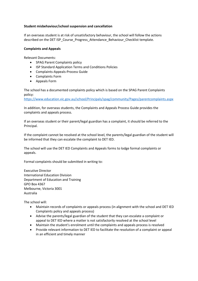## **Student misbehaviour/school suspension and cancellation**

If an overseas student is at risk of unsatisfactory behaviour, the school will follow the actions described on the DET ISP\_Course\_Progress\_Attendance\_Behaviour\_Checklist template.

## **Complaints and Appeals**

Relevant Documents:

- SPAG Parent Complaints policy
- ISP Standard Application Terms and Conditions Policies
- Complaints-Appeals-Process Guide
- Complaints Form
- Appeals Form

The school has a documented complaints policy which is based on the SPAG Parent Complaints policy:

<https://www.education.vic.gov.au/school/Principals/spag/community/Pages/parentcomplaints.aspx>

In addition, for overseas students, the Complaints and Appeals Process Guide provides the complaints and appeals process.

If an overseas student or their parent/legal guardian has a complaint, it should be referred to the Principal.

If the complaint cannot be resolved at the school level, the parents/legal guardian of the student will be informed that they can escalate the complaint to DET IED.

The school will use the DET IED Complaints and Appeals forms to lodge formal complaints or appeals.

Formal complaints should be submitted in writing to:

Executive Director International Education Division Department of Education and Training GPO Box 4367 Melbourne, Victoria 3001 Australia

The school will:

- Maintain records of complaints or appeals process (in alignment with the school and DET IED Complaints policy and appeals process)
- Advise the parents/legal guardian of the student that they can escalate a complaint or appeal to DET IED where a matter is not satisfactorily resolved at the school level
- Maintain the student's enrolment until the complaints and appeals process is resolved
- Provide relevant information to DET IED to facilitate the resolution of a complaint or appeal in an efficient and timely manner